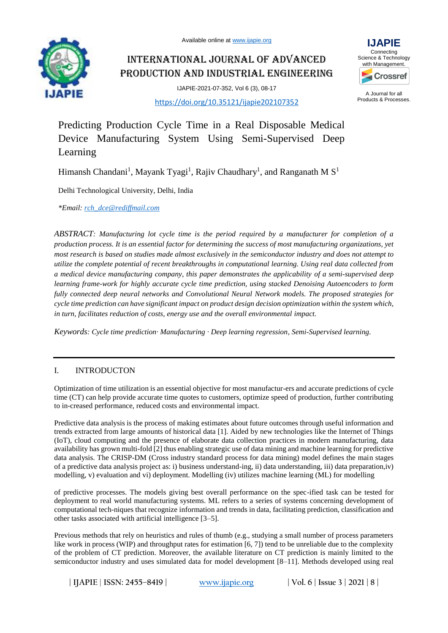Available online at [www.ijapie.org](http://www.ijapie.org/)



International Journal of Advanced Production and Industrial Engineering

IJAPIE-2021-07-352, Vol 6 (3), 08-17





A Journal for all Products & Processes.

Predicting Production Cycle Time in a Real Disposable Medical Device Manufacturing System Using Semi-Supervised Deep Learning

Himansh Chandani<sup>1</sup>, Mayank Tyagi<sup>1</sup>, Rajiv Chaudhary<sup>1</sup>, and Ranganath M S<sup>1</sup>

Delhi Technological University, Delhi, India

*\*Email: [rch\\_dce@rediffmail.com](mailto:rch_dce@rediffmail.com)*

*ABSTRACT: Manufacturing lot cycle time is the period required by a manufacturer for completion of a production process. It is an essential factor for determining the success of most manufacturing organizations, yet most research is based on studies made almost exclusively in the semiconductor industry and does not attempt to utilize the complete potential of recent breakthroughs in computational learning. Using real data collected from a medical device manufacturing company, this paper demonstrates the applicability of a semi-supervised deep learning frame-work for highly accurate cycle time prediction, using stacked Denoising Autoencoders to form fully connected deep neural networks and Convolutional Neural Network models. The proposed strategies for cycle time prediction can have significant impact on product design decision optimization within the system which, in turn, facilitates reduction of costs, energy use and the overall environmental impact.*

*Keywords: Cycle time prediction· Manufacturing · Deep learning regression, Semi-Supervised learning.*

# I. INTRODUCTON

Optimization of time utilization is an essential objective for most manufactur-ers and accurate predictions of cycle time (CT) can help provide accurate time quotes to customers, optimize speed of production, further contributing to in-creased performance, reduced costs and environmental impact.

Predictive data analysis is the process of making estimates about future outcomes through useful information and trends extracted from large amounts of historical data [1]. Aided by new technologies like the Internet of Things (IoT), cloud computing and the presence of elaborate data collection practices in modern manufacturing, data availability has grown multi-fold [2] thus enabling strategic use of data mining and machine learning for predictive data analysis. The CRISP-DM (Cross industry standard process for data mining) model defines the main stages of a predictive data analysis project as: i) business understand-ing, ii) data understanding, iii) data preparation,iv) modelling, v) evaluation and vi) deployment. Modelling (iv) utilizes machine learning (ML) for modelling

of predictive processes. The models giving best overall performance on the spec-ified task can be tested for deployment to real world manufacturing systems. ML refers to a series of systems concerning development of computational tech-niques that recognize information and trends in data, facilitating prediction, classification and other tasks associated with artificial intelligence [3–5].

Previous methods that rely on heuristics and rules of thumb (e.g., studying a small number of process parameters like work in process (WIP) and throughput rates for estimation [6, 7]) tend to be unreliable due to the complexity of the problem of CT prediction. Moreover, the available literature on CT prediction is mainly limited to the semiconductor industry and uses simulated data for model development [8–11]. Methods developed using real

**| IJAPIE** | **ISSN: 2455–8419 | [www.ijapie.org](http://www.ijapie.org/) | Vol. 6 | Issue 3 | 2021 | 8 |**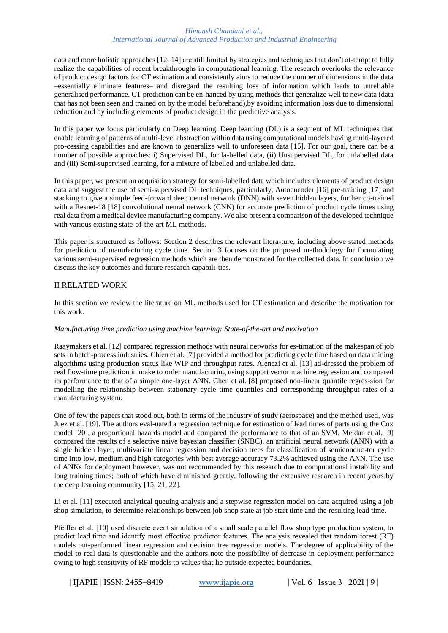data and more holistic approaches [12–14] are still limited by strategies and techniques that don't at-tempt to fully realize the capabilities of recent breakthroughs in computational learning. The research overlooks the relevance of product design factors for CT estimation and consistently aims to reduce the number of dimensions in the data –essentially eliminate features– and disregard the resulting loss of information which leads to unreliable generalised performance. CT prediction can be en-hanced by using methods that generalize well to new data (data that has not been seen and trained on by the model beforehand),by avoiding information loss due to dimensional reduction and by including elements of product design in the predictive analysis.

In this paper we focus particularly on Deep learning. Deep learning (DL) is a segment of ML techniques that enable learning of patterns of multi-level abstraction within data using computational models having multi-layered pro-cessing capabilities and are known to generalize well to unforeseen data [15]. For our goal, there can be a number of possible approaches: i) Supervised DL, for la-belled data, (ii) Unsupervised DL, for unlabelled data and (iii) Semi-supervised learning, for a mixture of labelled and unlabelled data.

In this paper, we present an acquisition strategy for semi-labelled data which includes elements of product design data and suggest the use of semi-supervised DL techniques, particularly, Autoencoder [16] pre-training [17] and stacking to give a simple feed-forward deep neural network (DNN) with seven hidden layers, further co-trained with a Resnet-18 [18] convolutional neural network (CNN) for accurate prediction of product cycle times using real data from a medical device manufacturing company. We also present a comparison of the developed technique with various existing state-of-the-art ML methods.

This paper is structured as follows: Section 2 describes the relevant litera-ture, including above stated methods for prediction of manufacturing cycle time. Section 3 focuses on the proposed methodology for formulating various semi-supervised regression methods which are then demonstrated for the collected data. In conclusion we discuss the key outcomes and future research capabili-ties.

# II RELATED WORK

In this section we review the literature on ML methods used for CT estimation and describe the motivation for this work.

# *Manufacturing time prediction using machine learning: State-of-the-art and motivation*

Raaymakers et al. [12] compared regression methods with neural networks for es-timation of the makespan of job sets in batch-process industries. Chien et al. [7] provided a method for predicting cycle time based on data mining algorithms using production status like WIP and throughput rates. Alenezi et al. [13] ad-dressed the problem of real flow-time prediction in make to order manufacturing using support vector machine regression and compared its performance to that of a simple one-layer ANN. Chen et al. [8] proposed non-linear quantile regres-sion for modelling the relationship between stationary cycle time quantiles and corresponding throughput rates of a manufacturing system.

One of few the papers that stood out, both in terms of the industry of study (aerospace) and the method used, was Juez et al. [19]. The authors eval-uated a regression technique for estimation of lead times of parts using the Cox model [20], a proportional hazards model and compared the performance to that of an SVM. Meidan et al. [9] compared the results of a selective naive bayesian classifier (SNBC), an artificial neural network (ANN) with a single hidden layer, multivariate linear regression and decision trees for classification of semiconduc-tor cycle time into low, medium and high categories with best average accuracy 73.2% achieved using the ANN. The use of ANNs for deployment however, was not recommended by this research due to computational instability and long training times; both of which have diminished greatly, following the extensive research in recent years by the deep learning community [15, 21, 22].

Li et al. [11] executed analytical queuing analysis and a stepwise regression model on data acquired using a job shop simulation, to determine relationships between job shop state at job start time and the resulting lead time.

Pfeiffer et al. [10] used discrete event simulation of a small scale parallel flow shop type production system, to predict lead time and identify most effective predictor features. The analysis revealed that random forest (RF) models out-performed linear regression and decision tree regression models. The degree of applicability of the model to real data is questionable and the authors note the possibility of decrease in deployment performance owing to high sensitivity of RF models to values that lie outside expected boundaries.

**| IJAPIE** | **ISSN: 2455–8419 | [www.ijapie.org](http://www.ijapie.org/) | Vol. 6 | Issue 3 | 2021 | 9 |**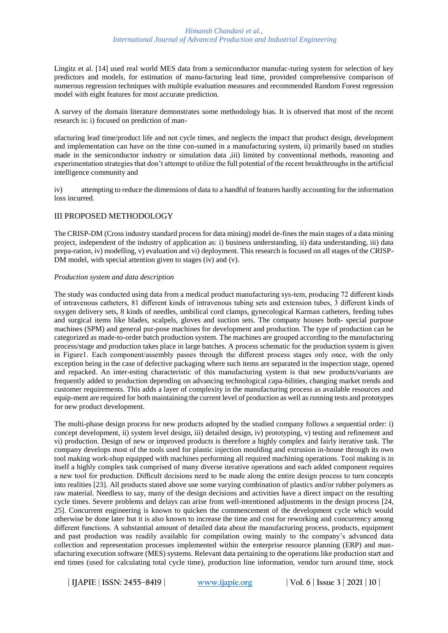Lingitz et al. [14] used real world MES data from a semiconductor manufac-turing system for selection of key predictors and models, for estimation of manu-facturing lead time, provided comprehensive comparison of numerous regression techniques with multiple evaluation measures and recommended Random Forest regression model with eight features for most accurate prediction.

A survey of the domain literature demonstrates some methodology bias. It is observed that most of the recent research is: i) focused on prediction of man-

ufacturing lead time/product life and not cycle times, and neglects the impact that product design, development and implementation can have on the time con-sumed in a manufacturing system, ii) primarily based on studies made in the semiconductor industry or simulation data ,iii) limited by conventional methods, reasoning and experimentation strategies that don't attempt to utilize the full potential of the recent breakthroughs in the artificial intelligence community and

iv) attempting to reduce the dimensions of data to a handful of features hardly accounting for the information loss incurred.

# III PROPOSED METHODOLOGY

The CRISP-DM (Cross industry standard process for data mining) model de-fines the main stages of a data mining project, independent of the industry of application as: i) business understanding, ii) data understanding, iii) data prepa-ration, iv) modelling, v) evaluation and vi) deployment. This research is focused on all stages of the CRISP-DM model, with special attention given to stages (iv) and (v).

#### *Production system and data description*

The study was conducted using data from a medical product manufacturing sys-tem, producing 72 different kinds of intravenous catheters, 81 different kinds of intravenous tubing sets and extension tubes, 3 different kinds of oxygen delivery sets, 8 kinds of needles, umbilical cord clamps, gynecological Karman catheters, feeding tubes and surgical items like blades, scalpels, gloves and suction sets. The company houses both- special purpose machines (SPM) and general pur-pose machines for development and production. The type of production can be categorized as made-to-order batch production system. The machines are grouped according to the manufacturing process/stage and production takes place in large batches. A process schematic for the production system is given in Figure1. Each component/assembly passes through the different process stages only once, with the only exception being in the case of defective packaging where such items are separated in the inspection stage, opened and repacked. An inter-esting characteristic of this manufacturing system is that new products/variants are frequently added to production depending on advancing technological capa-bilities, changing market trends and customer requirements. This adds a layer of complexity in the manufacturing process as available resources and equip-ment are required for both maintaining the current level of production as well as running tests and prototypes for new product development.

The multi-phase design process for new products adopted by the studied company follows a sequential order: i) concept development, ii) system level design, iii) detailed design, iv) prototyping, v) testing and refinement and vi) production. Design of new or improved products is therefore a highly complex and fairly iterative task. The company develops most of the tools used for plastic injection moulding and extrusion in-house through its own tool making work-shop equipped with machines performing all required machining operations. Tool making is in itself a highly complex task comprised of many diverse iterative operations and each added component requires a new tool for production. Difficult decisions need to be made along the entire design process to turn concepts into realities [23]. All products stated above use some varying combination of plastics and/or rubber polymers as raw material. Needless to say, many of the design decisions and activities have a direct impact on the resulting cycle times. Severe problems and delays can arise from well-intentioned adjustments in the design process [24, 25]. Concurrent engineering is known to quicken the commencement of the development cycle which would otherwise be done later but it is also known to increase the time and cost for reworking and concurrency among different functions. A substantial amount of detailed data about the manufacturing process, products, equipment and past production was readily available for compilation owing mainly to the company's advanced data collection and representation processes implemented within the enterprise resource planning (ERP) and manufacturing execution software (MES) systems. Relevant data pertaining to the operations like production start and end times (used for calculating total cycle time), production line information, vendor turn around time, stock

**| IJAPIE** | **ISSN: 2455–8419 | [www.ijapie.org](http://www.ijapie.org/) | Vol. 6 | Issue 3 | 2021 | 10 |**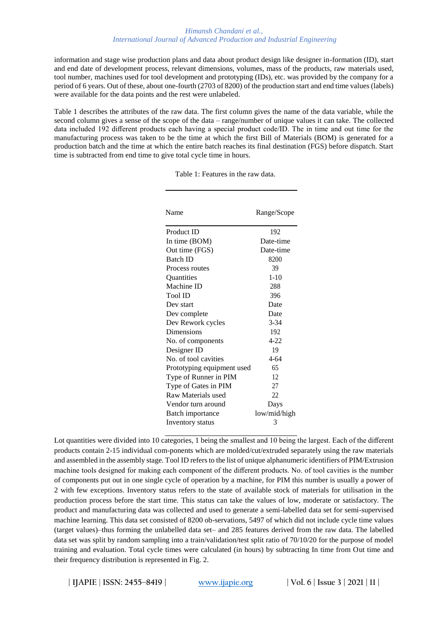information and stage wise production plans and data about product design like designer in-formation (ID), start and end date of development process, relevant dimensions, volumes, mass of the products, raw materials used, tool number, machines used for tool development and prototyping (IDs), etc. was provided by the company for a period of 6 years. Out of these, about one-fourth (2703 of 8200) of the production start and end time values (labels) were available for the data points and the rest were unlabeled.

Table 1 describes the attributes of the raw data. The first column gives the name of the data variable, while the second column gives a sense of the scope of the data – range/number of unique values it can take. The collected data included 192 different products each having a special product code/ID. The in time and out time for the manufacturing process was taken to be the time at which the first Bill of Materials (BOM) is generated for a production batch and the time at which the entire batch reaches its final destination (FGS) before dispatch. Start time is subtracted from end time to give total cycle time in hours.

| Name                       | Range/Scope  |
|----------------------------|--------------|
| Product ID                 | 192          |
| In time (BOM)              | Date-time    |
| Out time (FGS)             | Date-time    |
| <b>Batch ID</b>            | 8200         |
| Process routes             | 39           |
| Quantities                 | $1 - 10$     |
| Machine ID                 | 288          |
| Tool ID                    | 396          |
| Dev start                  | Date         |
| Dev complete               | Date         |
| Dev Rework cycles          | $3 - 34$     |
| Dimensions                 | 192          |
| No. of components          | $4 - 22$     |
| Designer ID                | 19           |
| No. of tool cavities       | $4 - 64$     |
| Prototyping equipment used | 65           |
| Type of Runner in PIM      | 12           |
| Type of Gates in PIM       | 27           |
| Raw Materials used         | 22           |
| Vendor turn around         | Days         |
| Batch importance           | low/mid/high |
| Inventory status           | 3            |

Table 1: Features in the raw data.

Lot quantities were divided into 10 categories, 1 being the smallest and 10 being the largest. Each of the different products contain 2-15 individual com-ponents which are molded/cut/extruded separately using the raw materials and assembled in the assembly stage. Tool ID refers to the list of unique alphanumeric identifiers of PIM/Extrusion machine tools designed for making each component of the different products. No. of tool cavities is the number of components put out in one single cycle of operation by a machine, for PIM this number is usually a power of 2 with few exceptions. Inventory status refers to the state of available stock of materials for utilisation in the production process before the start time. This status can take the values of low, moderate or satisfactory. The product and manufacturing data was collected and used to generate a semi-labelled data set for semi-supervised machine learning. This data set consisted of 8200 ob-servations, 5497 of which did not include cycle time values (target values)–thus forming the unlabelled data set– and 285 features derived from the raw data. The labelled data set was split by random sampling into a train/validation/test split ratio of 70/10/20 for the purpose of model training and evaluation. Total cycle times were calculated (in hours) by subtracting In time from Out time and their frequency distribution is represented in Fig. 2.

**| IJAPIE** | **ISSN: 2455–8419 | [www.ijapie.org](http://www.ijapie.org/) | Vol. 6 | Issue 3 | 2021 | 11 |**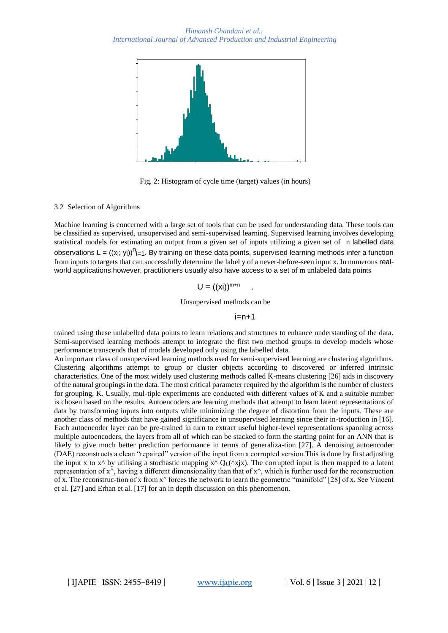

Fig. 2: Histogram of cycle time (target) values (in hours)

#### 3.2 Selection of Algorithms

Machine learning is concerned with a large set of tools that can be used for understanding data. These tools can be classified as supervised, unsupervised and semi-supervised learning. Supervised learning involves developing statistical models for estimating an output from a given set of inputs utilizing a given set of n labelled data observations L =  $((x_i; y_i))^{n_{i=1}}$ . By training on these data points, supervised learning methods infer a function from inputs to targets that can successfully determine the label y of a never-before-seen input x. In numerous realworld applications however, practitioners usually also have access to a set of m unlabeled data points

$$
U = ((xi))^{m+n}
$$

Unsupervised methods can be

 $i=n+1$ 

.

trained using these unlabelled data points to learn relations and structures to enhance understanding of the data. Semi-supervised learning methods attempt to integrate the first two method groups to develop models whose performance transcends that of models developed only using the labelled data.

An important class of unsupervised learning methods used for semi-supervised learning are clustering algorithms. Clustering algorithms attempt to group or cluster objects according to discovered or inferred intrinsic characteristics. One of the most widely used clustering methods called K-means clustering [26] aids in discovery of the natural groupings in the data. The most critical parameter required by the algorithm is the number of clusters for grouping, K. Usually, mul-tiple experiments are conducted with different values of K and a suitable number is chosen based on the results. Autoencoders are learning methods that attempt to learn latent representations of data by transforming inputs into outputs while minimizing the degree of distortion from the inputs. These are another class of methods that have gained significance in unsupervised learning since their in-troduction in [16]. Each autoencoder layer can be pre-trained in turn to extract useful higher-level representations spanning across multiple autoencoders, the layers from all of which can be stacked to form the starting point for an ANN that is likely to give much better prediction performance in terms of generaliza-tion [27]. A denoising autoencoder (DAE) reconstructs a clean "repaired" version of the input from a corrupted version.This is done by first adjusting the input x to  $x^{\wedge}$  by utilising a stochastic mapping  $x^{\wedge} Q_L(\wedge x|x)$ . The corrupted input is then mapped to a latent representation of  $x^{\wedge}$ , having a different dimensionality than that of  $x^{\wedge}$ , which is further used for the reconstruction of x. The reconstruc-tion of x from  $x^{\wedge}$  forces the network to learn the geometric "manifold" [28] of x. See Vincent et al. [27] and Erhan et al. [17] for an in depth discussion on this phenomenon.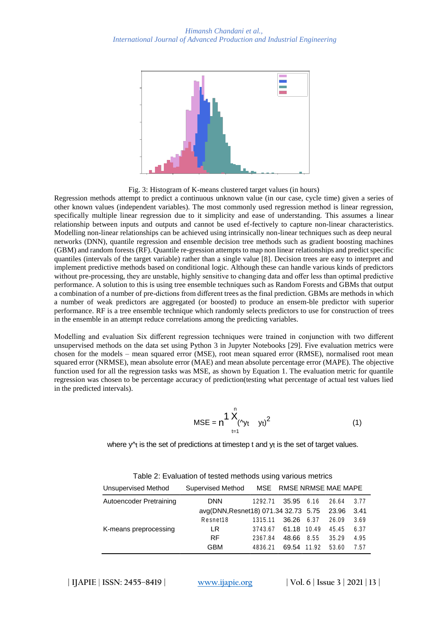

Fig. 3: Histogram of K-means clustered target values (in hours)

Regression methods attempt to predict a continuous unknown value (in our case, cycle time) given a series of other known values (independent variables). The most commonly used regression method is linear regression, specifically multiple linear regression due to it simplicity and ease of understanding. This assumes a linear relationship between inputs and outputs and cannot be used ef-fectively to capture non-linear characteristics. Modelling non-linear relationships can be achieved using intrinsically non-linear techniques such as deep neural networks (DNN), quantile regression and ensemble decision tree methods such as gradient boosting machines (GBM) and random forests (RF). Quantile re-gression attempts to map non linear relationships and predict specific quantiles (intervals of the target variable) rather than a single value [8]. Decision trees are easy to interpret and implement predictive methods based on conditional logic. Although these can handle various kinds of predictors without pre-processing, they are unstable, highly sensitive to changing data and offer less than optimal predictive performance. A solution to this is using tree ensemble techniques such as Random Forests and GBMs that output a combination of a number of pre-dictions from different trees as the final prediction. GBMs are methods in which a number of weak predictors are aggregated (or boosted) to produce an ensem-ble predictor with superior performance. RF is a tree ensemble technique which randomly selects predictors to use for construction of trees in the ensemble in an attempt reduce correlations among the predicting variables.

Modelling and evaluation Six different regression techniques were trained in conjunction with two different unsupervised methods on the data set using Python 3 in Jupyter Notebooks [29]. Five evaluation metrics were chosen for the models – mean squared error (MSE), root mean squared error (RMSE), normalised root mean squared error (NRMSE), mean absolute error (MAE) and mean absolute percentage error (MAPE). The objective function used for all the regression tasks was MSE, as shown by Equation 1. The evaluation metric for quantile regression was chosen to be percentage accuracy of prediction(testing what percentage of actual test values lied in the predicted intervals).

$$
MSE = n \frac{1}{N} \bigwedge_{t=1}^{N} (y_t y_t)^2 \tag{1}
$$

where  $y^{\prime}$  is the set of predictions at timestep t and  $y_t$  is the set of target values.

| Unsupervised Method     | <b>Supervised Method</b>             | MSE     | RMSE NRMSE MAE MAPE |       |       |      |
|-------------------------|--------------------------------------|---------|---------------------|-------|-------|------|
| Autoencoder Pretraining | <b>DNN</b>                           | 1292.71 | 35.95 6.16          |       | 26.64 | 3.77 |
|                         | avg(DNN, Resnet18) 071.34 32.73 5.75 |         |                     | 23.96 | 3.41  |      |
|                         | Resnet18                             | 1315.11 | 36.26               | 6.37  | 26.09 | 3.69 |
| K-means preprocessing   | LR.                                  | 3743.67 | 61.18 10.49         |       | 45.45 | 6.37 |
|                         | <b>RF</b>                            | 2367.84 | 48.66               | 8.55  | 35.29 | 4.95 |
|                         | <b>GBM</b>                           | 4836.21 | 69.54 11.92         |       | 53.60 | 7.57 |

Table 2: Evaluation of tested methods using various metrics

**| IJAPIE** | **ISSN: 2455–8419 | [www.ijapie.org](http://www.ijapie.org/) | Vol. 6 | Issue 3 | 2021 | 13 |**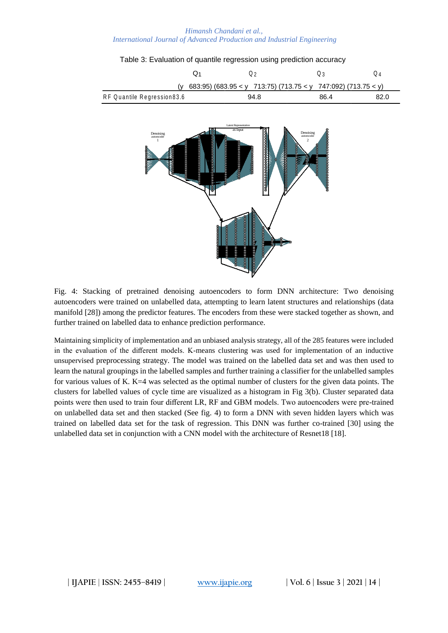|                                                                     | Q <sub>1</sub> | $\mathsf Q_2$                                      | $\mathsf Q_3$                                                                                 | $Q_4$ |
|---------------------------------------------------------------------|----------------|----------------------------------------------------|-----------------------------------------------------------------------------------------------|-------|
| (v                                                                  |                |                                                    | 683:95) (683.95 < y 713:75) (713.75 < y 747:092) (713.75 < y)                                 |       |
| RF Quantile Regression83.6                                          |                | 94.8                                               | 86.4                                                                                          | 82.0  |
| $\begin{array}{c}\text{Denoising}\\\text{autoneoder}\\1\end{array}$ |                | Latent Representation<br>as input<br>daaaaaaa<br>į | $\begin{array}{c} \rm Denoising \\ \rm autoencoder \end{array}$<br>$\overline{c}$<br>88888888 |       |

## Table 3: Evaluation of quantile regression using prediction accuracy

Fig. 4: Stacking of pretrained denoising autoencoders to form DNN architecture: Two denoising autoencoders were trained on unlabelled data, attempting to learn latent structures and relationships (data manifold [28]) among the predictor features. The encoders from these were stacked together as shown, and further trained on labelled data to enhance prediction performance.

Maintaining simplicity of implementation and an unbiased analysis strategy, all of the 285 features were included in the evaluation of the different models. K-means clustering was used for implementation of an inductive unsupervised preprocessing strategy. The model was trained on the labelled data set and was then used to learn the natural groupings in the labelled samples and further training a classifier for the unlabelled samples for various values of K. K=4 was selected as the optimal number of clusters for the given data points. The clusters for labelled values of cycle time are visualized as a histogram in Fig 3(b). Cluster separated data points were then used to train four different LR, RF and GBM models. Two autoencoders were pre-trained on unlabelled data set and then stacked (See fig. 4) to form a DNN with seven hidden layers which was trained on labelled data set for the task of regression. This DNN was further co-trained [30] using the unlabelled data set in conjunction with a CNN model with the architecture of Resnet18 [18].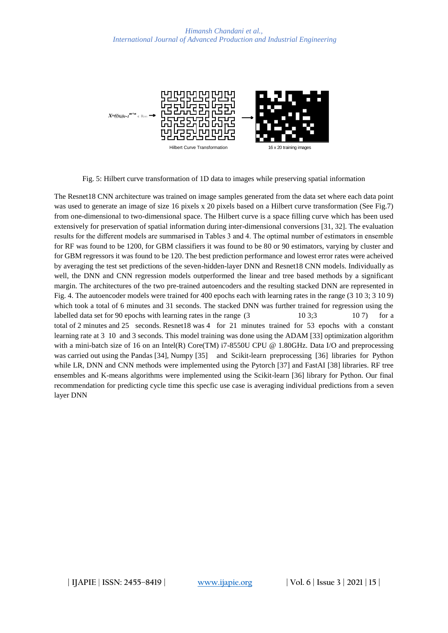

Fig. 5: Hilbert curve transformation of 1D data to images while preserving spatial information

The Resnet18 CNN architecture was trained on image samples generated from the data set where each data point was used to generate an image of size 16 pixels x 20 pixels based on a Hilbert curve transformation (See Fig.7) from one-dimensional to two-dimensional space. The Hilbert curve is a space filling curve which has been used extensively for preservation of spatial information during inter-dimensional conversions [31, 32]. The evaluation results for the different models are summarised in Tables 3 and 4. The optimal number of estimators in ensemble for RF was found to be 1200, for GBM classifiers it was found to be 80 or 90 estimators, varying by cluster and for GBM regressors it was found to be 120. The best prediction performance and lowest error rates were acheived by averaging the test set predictions of the seven-hidden-layer DNN and Resnet18 CNN models. Individually as well, the DNN and CNN regression models outperformed the linear and tree based methods by a significant margin. The architectures of the two pre-trained autoencoders and the resulting stacked DNN are represented in Fig. 4. The autoencoder models were trained for 400 epochs each with learning rates in the range (3 10 3; 3 10 9) which took a total of 6 minutes and 31 seconds. The stacked DNN was further trained for regression using the labelled data set for 90 epochs with learning rates in the range  $(3 \t 10 \t 3;3 \t 10 \t 7)$  for a total of 2 minutes and 25 seconds. Resnet18 was 4 for 21 minutes trained for 53 epochs with a constant learning rate at 3 10 and 3 seconds. This model training was done using the ADAM [33] optimization algorithm with a mini-batch size of 16 on an Intel(R) Core(TM) i7-8550U CPU @ 1.80GHz. Data I/O and preprocessing was carried out using the Pandas [34], Numpy [35] and Scikit-learn preprocessing [36] libraries for Python while LR, DNN and CNN methods were implemented using the Pytorch [37] and FastAI [38] libraries. RF tree ensembles and K-means algorithms were implemented using the Scikit-learn [36] library for Python. Our final recommendation for predicting cycle time this specfic use case is averaging individual predictions from a seven layer DNN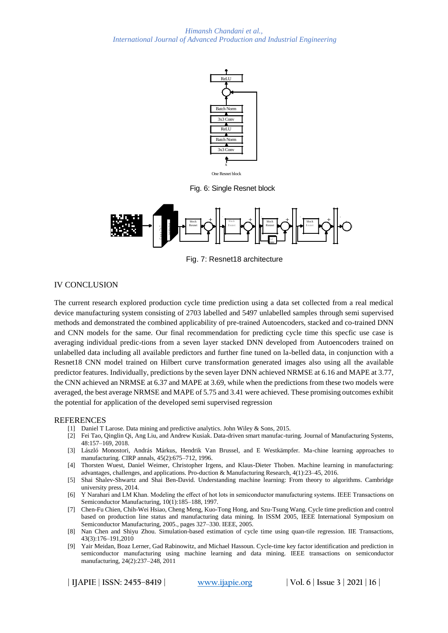

Fig. 6: Single Resnet block



Fig. 7: Resnet18 architecture

# IV CONCLUSION

The current research explored production cycle time prediction using a data set collected from a real medical device manufacturing system consisting of 2703 labelled and 5497 unlabelled samples through semi supervised methods and demonstrated the combined applicability of pre-trained Autoencoders, stacked and co-trained DNN and CNN models for the same. Our final recommendation for predicting cycle time this specfic use case is averaging individual predic-tions from a seven layer stacked DNN developed from Autoencoders trained on unlabelled data including all available predictors and further fine tuned on la-belled data, in conjunction with a Resnet18 CNN model trained on Hilbert curve transformation generated images also using all the available predictor features. Individually, predictions by the seven layer DNN achieved NRMSE at 6.16 and MAPE at 3.77, the CNN achieved an NRMSE at 6.37 and MAPE at 3.69, while when the predictions from these two models were averaged, the best average NRMSE and MAPE of 5.75 and 3.41 were achieved. These promising outcomes exhibit the potential for application of the developed semi supervised regression

# **REFERENCES**

- [1] Daniel T Larose. Data mining and predictive analytics. John Wiley & Sons, 2015.
- [2] Fei Tao, Qinglin Qi, Ang Liu, and Andrew Kusiak. Data-driven smart manufac-turing. Journal of Manufacturing Systems, 48:157–169, 2018.
- [3] László Monostori, András Márkus, Hendrik Van Brussel, and E Westkämpfer. Ma-chine learning approaches to manufacturing. CIRP annals, 45(2):675–712, 1996.
- [4] Thorsten Wuest, Daniel Weimer, Christopher Irgens, and Klaus-Dieter Thoben. Machine learning in manufacturing: advantages, challenges, and applications. Pro-duction & Manufacturing Research, 4(1):23–45, 2016.
- [5] Shai Shalev-Shwartz and Shai Ben-David. Understanding machine learning: From theory to algorithms. Cambridge university press, 2014.
- [6] Y Narahari and LM Khan. Modeling the effect of hot lots in semiconductor manufacturing systems. IEEE Transactions on Semiconductor Manufacturing, 10(1):185–188, 1997.
- [7] Chen-Fu Chien, Chih-Wei Hsiao, Cheng Meng, Kuo-Tong Hong, and Szu-Tsung Wang. Cycle time prediction and control based on production line status and manufacturing data mining. In ISSM 2005, IEEE International Symposium on Semiconductor Manufacturing, 2005., pages 327–330. IEEE, 2005.
- [8] Nan Chen and Shiyu Zhou. Simulation-based estimation of cycle time using quan-tile regression. IIE Transactions, 43(3):176–191,2010
- [9] Yair Meidan, Boaz Lerner, Gad Rabinowitz, and Michael Hassoun. Cycle-time key factor identification and prediction in semiconductor manufacturing using machine learning and data mining. IEEE transactions on semiconductor manufacturing, 24(2):237–248, 2011

**| IJAPIE** | **ISSN: 2455–8419 | [www.ijapie.org](http://www.ijapie.org/) | Vol. 6 | Issue 3 | 2021 | 16 |**